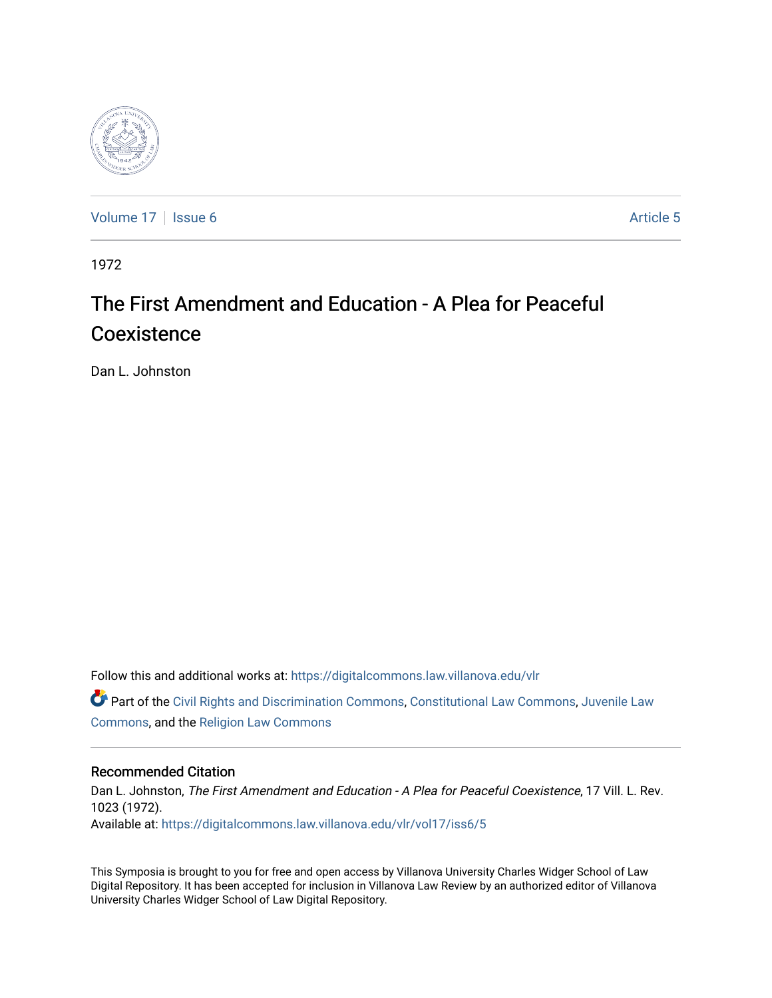

[Volume 17](https://digitalcommons.law.villanova.edu/vlr/vol17) | [Issue 6](https://digitalcommons.law.villanova.edu/vlr/vol17/iss6) Article 5

1972

# The First Amendment and Education - A Plea for Peaceful Coexistence

Dan L. Johnston

Follow this and additional works at: [https://digitalcommons.law.villanova.edu/vlr](https://digitalcommons.law.villanova.edu/vlr?utm_source=digitalcommons.law.villanova.edu%2Fvlr%2Fvol17%2Fiss6%2F5&utm_medium=PDF&utm_campaign=PDFCoverPages)

Part of the [Civil Rights and Discrimination Commons,](http://network.bepress.com/hgg/discipline/585?utm_source=digitalcommons.law.villanova.edu%2Fvlr%2Fvol17%2Fiss6%2F5&utm_medium=PDF&utm_campaign=PDFCoverPages) [Constitutional Law Commons,](http://network.bepress.com/hgg/discipline/589?utm_source=digitalcommons.law.villanova.edu%2Fvlr%2Fvol17%2Fiss6%2F5&utm_medium=PDF&utm_campaign=PDFCoverPages) [Juvenile Law](http://network.bepress.com/hgg/discipline/851?utm_source=digitalcommons.law.villanova.edu%2Fvlr%2Fvol17%2Fiss6%2F5&utm_medium=PDF&utm_campaign=PDFCoverPages)  [Commons](http://network.bepress.com/hgg/discipline/851?utm_source=digitalcommons.law.villanova.edu%2Fvlr%2Fvol17%2Fiss6%2F5&utm_medium=PDF&utm_campaign=PDFCoverPages), and the [Religion Law Commons](http://network.bepress.com/hgg/discipline/872?utm_source=digitalcommons.law.villanova.edu%2Fvlr%2Fvol17%2Fiss6%2F5&utm_medium=PDF&utm_campaign=PDFCoverPages)

## Recommended Citation

Dan L. Johnston, The First Amendment and Education - A Plea for Peaceful Coexistence, 17 Vill. L. Rev. 1023 (1972). Available at: [https://digitalcommons.law.villanova.edu/vlr/vol17/iss6/5](https://digitalcommons.law.villanova.edu/vlr/vol17/iss6/5?utm_source=digitalcommons.law.villanova.edu%2Fvlr%2Fvol17%2Fiss6%2F5&utm_medium=PDF&utm_campaign=PDFCoverPages) 

This Symposia is brought to you for free and open access by Villanova University Charles Widger School of Law Digital Repository. It has been accepted for inclusion in Villanova Law Review by an authorized editor of Villanova University Charles Widger School of Law Digital Repository.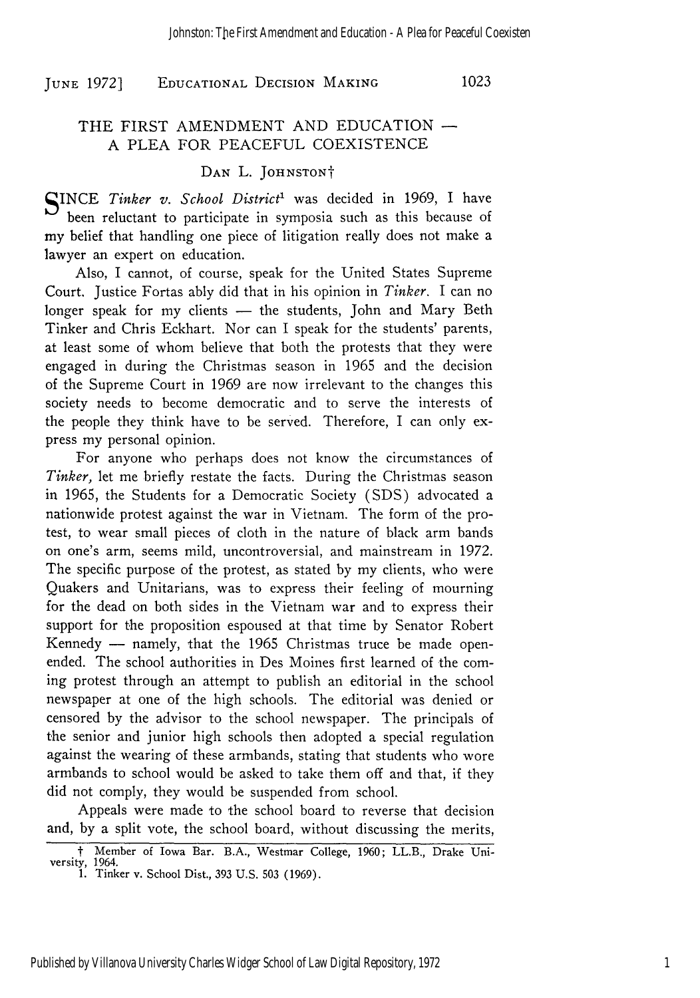**EDUCATIONAL** DECISION MAKING **JUNE 1972] 1023**

## THE FIRST AMENDMENT AND EDUCATION -A PLEA FOR PEACEFUL COEXISTENCE

#### DAN L. JOHNSTON<sup>†</sup>

SINCE *Tinker v. School District'* was decided in 1969, I have been reluctant to participate in symposia such as this because of my belief that handling one piece of litigation really does not make a lawyer an expert on education.

Also, I cannot, of course, speak for the United States Supreme Court. Justice Fortas ably did that in his opinion in *Tinker.* I can no longer speak for my clients - the students, John and Mary Beth Tinker and Chris Eckhart. Nor can I speak for the students' parents, at least some of whom believe that both the protests that they were engaged in during the Christmas season in 1965 and the decision of the Supreme Court in 1969 are now irrelevant to the changes this society needs to become democratic and to serve the interests of the people they think have to be served. Therefore, I can only express my personal opinion.

For anyone who perhaps does not know the circumstances of *Tinker,* let me briefly restate the facts. During the Christmas season in 1965, the Students for a Democratic Society (SDS) advocated a nationwide protest against the war in Vietnam. The form of the protest, to wear small pieces of cloth in the nature of black arm bands on one's arm, seems mild, uncontroversial, and mainstream in 1972. The specific purpose of the protest, as stated by my clients, who were Quakers and Unitarians, was to express their feeling of mourning for the dead on both sides in the Vietnam war and to express their support for the proposition espoused at that time by Senator Robert Kennedy - namely, that the 1965 Christmas truce be made openended. The school authorities in Des Moines first learned of the coming protest through an attempt to publish an editorial in the school newspaper at one of the high schools. The editorial was denied or censored by the advisor to the school newspaper. The principals of the senior and junior high schools then adopted a special regulation against the wearing of these armbands, stating that students who wore armbands to school would be asked to take them off and that, if they did not comply, they would be suspended from school.

Appeals were made to the school board to reverse that decision and, by a split vote, the school board, without discussing the merits,

t Member of Iowa Bar. B.A., Westmar College, 1960; LL.B., Drake University, 1964. 1. Tinker v. School Dist., 393 U.S. 503 (1969).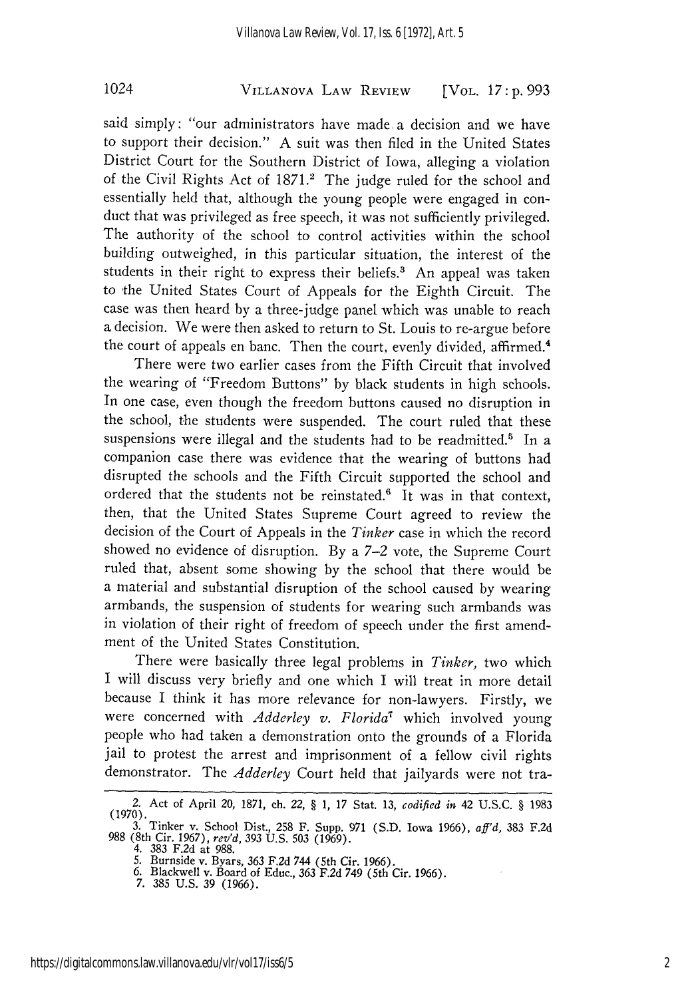## VILLANOVA LAW REVIEW 1024 [VOL. *17* **: p. 993**

said simply: "our administrators have made a decision and we have to support their decision." A suit was then filed in the United States District Court for the Southern District of Iowa, alleging a violation of the Civil Rights Act of 1871.<sup>2</sup> The judge ruled for the school and essentially held that, although the young people were engaged in conduct that was privileged as free speech, it was not sufficiently privileged. The authority of the school to control activities within the school building outweighed, in this particular situation, the interest of the students in their right to express their beliefs.<sup>3</sup> An appeal was taken to the United States Court of Appeals for the Eighth Circuit. The case was then heard by a three-judge panel which was unable to reach a decision. We were then asked to return to St. Louis to re-argue before the court of appeals en banc. Then the court, evenly divided, affirmed.4

There were two earlier cases from the Fifth Circuit that involved the wearing of "Freedom Buttons" by black students in high schools. In one case, even though the freedom buttons caused no disruption in the school, the students were suspended. The court ruled that these suspensions were illegal and the students had to be readmitted.<sup>5</sup> In a companion case there was evidence that the wearing of buttons had disrupted the schools and the Fifth Circuit supported the school and ordered that the students not be reinstated.' It was in that context, then, that the United States Supreme Court agreed to review the decision of the Court of Appeals in the *Tinker* case in which the record showed no evidence of disruption. By a 7-2 vote, the Supreme Court ruled that, absent some showing by the school that there would be a material and substantial disruption of the school caused by wearing armbands, the suspension of students for wearing such armbands was in violation of their right of freedom of speech under the first amendment of the United States Constitution.

There were basically three legal problems in *Tinker,* two which I will discuss very briefly and one which I will treat in more detail because I think it has more relevance for non-lawyers. Firstly, we were concerned with *Adderley v. Florida"* which involved young people who had taken a demonstration onto the grounds of a Florida jail to protest the arrest and imprisonment of a fellow civil rights demonstrator. The *Adderley* Court held that jailyards were not tra-

<sup>2.</sup> Act of April 20, **1871, ch.** *22, §* **1, 17** Stat. **13,** *codified in* 42 U.S.C. § **<sup>1983</sup> (1970). 3.** Tinker v. School Dist., **258** F. Supp. **971 (S.D.** Iowa **1966),** *aff'd,* 383 F.2d

**<sup>988</sup>**(8th Cir. 1967), *rev'd,* **393** U.S. **503 (1969).** 4. **383 F.2d** at **988.**

**<sup>5.</sup>** Burnside v. Byars, **363 F.2d** 744 (5th Cir. **1966). 6.** Blackwell v. Board of Educ., **363 F.2d** 749 (5th Cir. **1966). 7. 385 U.S. 39 (1966).**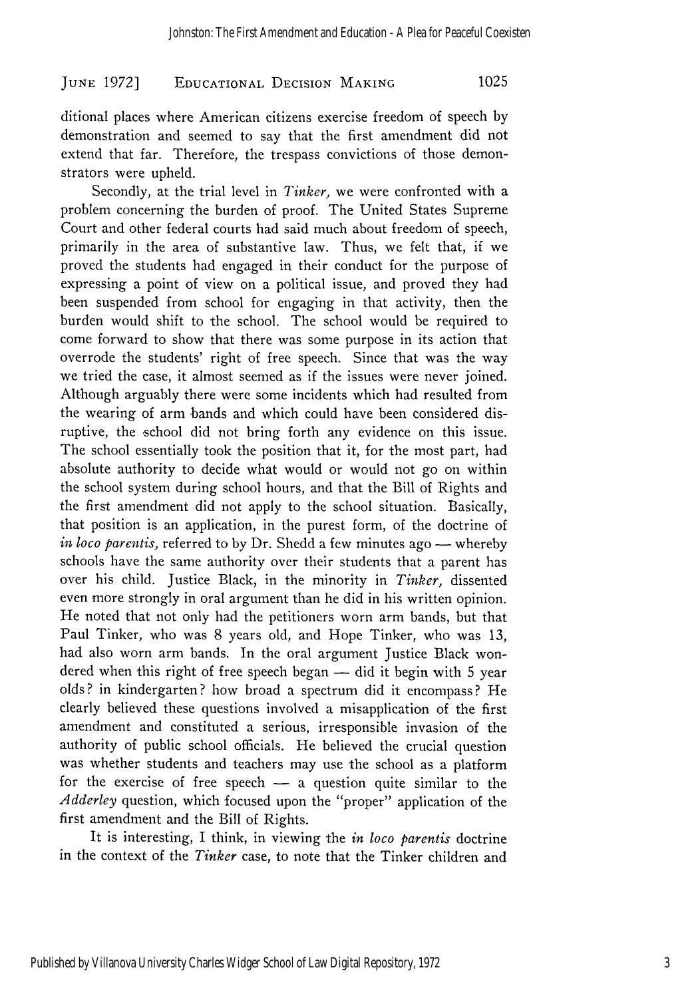## **EDUCATIONAL** DECISION **MAKING JUNE 1972] 1025**

ditional places where American citizens exercise freedom of speech by demonstration and seemed to say that the first amendment did not extend that far. Therefore, the trespass convictions of those demonstrators were upheld.

Secondly, at the trial level in *Tinker,* we were confronted with a problem concerning the burden of proof. The United States Supreme Court and other federal courts had said much about freedom of speech, primarily in the area of substantive law. Thus, we felt that, if we proved the students had engaged in their conduct for the purpose of expressing a point of view on a political issue, and proved they had been suspended from school for engaging in that activity, then the burden would shift to the school. The school would be required to come forward to show that there was some purpose in its action that overrode the students' right of free speech. Since that was the way we tried the case, it almost seemed as if the issues were never joined. Although arguably there were some incidents which had resulted from the wearing of arm 'bands and which could have been considered disruptive, the school did not bring forth any evidence on this issue. The school essentially took the position that it, for the most part, had absolute authority to decide what would or would not go on within the school system during school hours, and that the Bill of Rights and the first amendment did not apply to the school situation. Basically, that position is an application, in the purest form, of the doctrine of *in loco parentis, referred to by Dr. Shedd a few minutes ago — whereby* schools have the same authority over their students that a parent has over his child. Justice Black, in the minority in *Tinker,* dissented even more strongly in oral argument than he did in his written opinion. He noted that not only had the petitioners worn arm bands, but that Paul Tinker, who was 8 years old, and Hope Tinker, who was 13, had also worn arm bands. In the oral argument Justice Black wondered when this right of free speech began  $-$  did it begin with 5 year olds? in kindergarten? how broad a spectrum did it encompass? He clearly believed these questions involved a misapplication of the first amendment and constituted a serious, irresponsible invasion of the authority of public school officials. He believed the crucial question was whether students and teachers may use the school as a platform for the exercise of free speech  $-$  a question quite similar to the *Adderley* question, which focused upon the "proper" application of the first amendment and the Bill of Rights.

It is interesting, I think, in viewing the *in loco parentis* doctrine in the context of the *Tinker* case, to note that the Tinker children and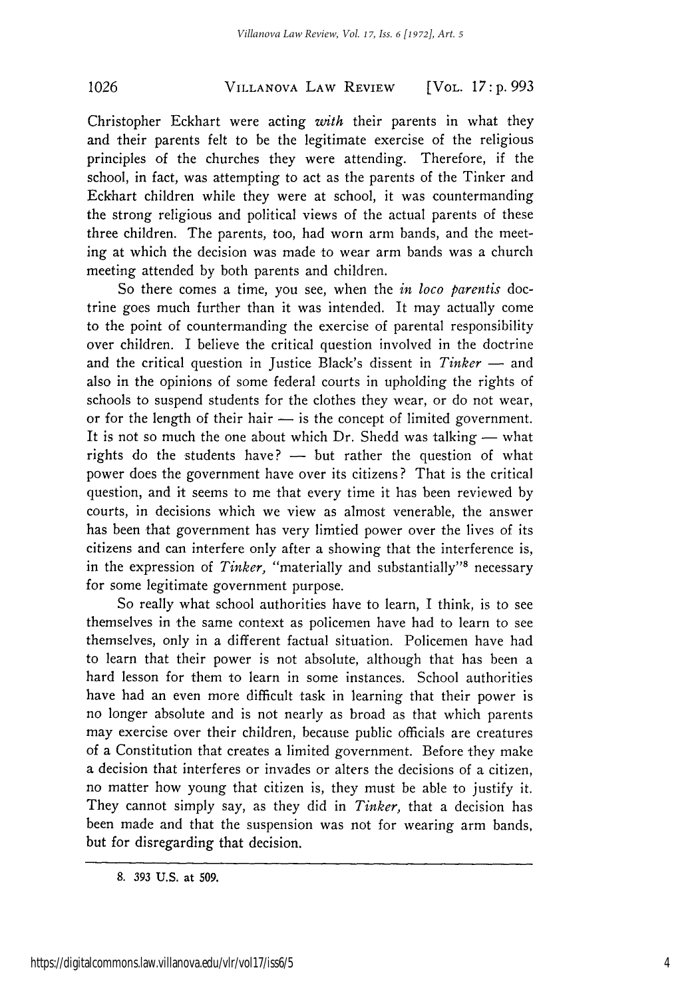## **VILLANOVA** LAW **REVIEW 1026** [VOL. *17:* **p.** *993*

Christopher Eckhart were acting *with* their parents in what they and their parents felt to be the legitimate exercise of the religious principles of the churches they were attending. Therefore, if the school, in fact, was attempting to act as the parents of the Tinker and Eckhart children while they were at school, it was countermanding the strong religious and political views of the actual parents of these three children. The parents, too, had worn arm bands, and the meeting at which the decision was made to wear arm bands was a church meeting attended by both parents and children.

So there comes a time, you see, when the *in loco parentis* doctrine goes much further than it was intended. It may actually come to the point of countermanding the exercise of parental responsibility over children. I believe the critical question involved in the doctrine and the critical question in Justice Black's dissent in *Tinker* - and also in the opinions of some federal courts in upholding the rights of schools to suspend students for the clothes they wear, or do not wear, or for the length of their hair  $-$  is the concept of limited government. It is not so much the one about which  $Dr$ . Shedd was talking  $-$  what rights do the students have?  $-$  but rather the question of what power does the government have over its citizens ? That is the critical question, and it seems to me that every time it has been reviewed by courts, in decisions which we view as almost venerable, the answer has been that government has very limtied power over the lives of its citizens and can interfere only after a showing that the interference is, in the expression of *Tinker*, "materially and substantially"<sup>8</sup> necessary for some legitimate government purpose.

So really what school authorities have to learn, I think, is to see themselves in the same context as policemen have had to learn to see themselves, only in a different factual situation. Policemen have had to learn that their power is not absolute, although that has been a hard lesson for them to learn in some instances. School authorities have had an even more difficult task in learning that their power is no longer absolute and is not nearly as broad as that which parents may exercise over their children, because public officials are creatures of a Constitution that creates a limited government. Before they make a decision that interferes or invades or alters the decisions of a citizen, no matter how young that citizen is, they must be able to justify it. They cannot simply say, as they did in *Tinker,* that a decision has been made and that the suspension was not for wearing arm bands, but for disregarding that decision.

**<sup>8. 393</sup> U.S.** at **509.**